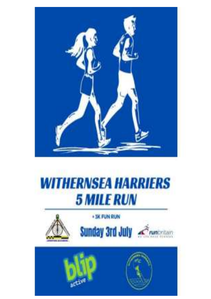

## **WITHERNSEA HARRIERS 5 MILE RUN**





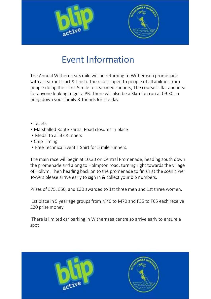



## Event Information

The Annual Withernsea 5 mile will be returning to Withernsea promenade with a seafront start & finish. The race is open to people of all abilities from people doing their first 5 mile to seasoned runners, The course is flat and ideal for anyone looking to get a PB. There will also be a 3km fun run at 09:30 so bring down your family & friends for the day. The main are with the seaf finish. The race is open to people of all abilities from<br>people doing their first 5 mile to seasoned runners, The course is flat and ideal<br>for anyone looking to get a PB. There will also be a 3km

- Toilets
- Marshalled Route Partial Road closures in place
- Medal to all 3k Runners
- Chip Timing
- Free Technical Event T Shirt for 5 mile runners.

The main race will begin at 10:30 on Central Promenade, heading south down of Hollym. Then heading back on to the promenade to finish at the scenic Pier Towers please arrive early to sign in & collect your bib numbers.

Prizes of £75, £50, and £30 awarded to 1st three men and 1st three women.

1st place in 5 year age groups from M40 to M70 and F35 to F65 each receive £20 prize money.

There is limited car parking in Withernsea centre so arrive early to ensure a spot